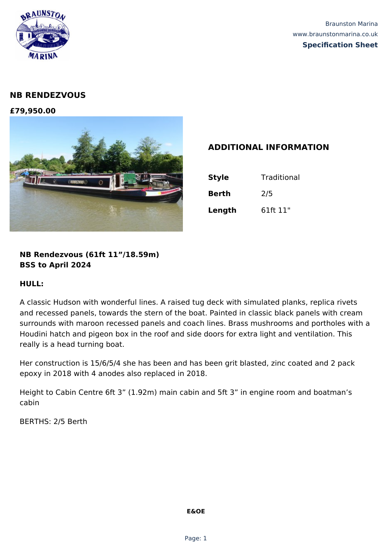

# **NB RENDEZVOUS**

**£79,950.00**



## **ADDITIONAL INFORMATION**

| <b>Style</b> | Traditional |
|--------------|-------------|
| <b>Berth</b> | 2/5         |
| Length       | 61ft 11"    |

**NB Rendezvous (61ft 11"/18.59m) BSS to April 2024**

### **HULL:**

A classic Hudson with wonderful lines. A raised tug deck with simulated planks, replica rivets and recessed panels, towards the stern of the boat. Painted in classic black panels with cream surrounds with maroon recessed panels and coach lines. Brass mushrooms and portholes with a Houdini hatch and pigeon box in the roof and side doors for extra light and ventilation. This really is a head turning boat.

Her construction is 15/6/5/4 she has been and has been grit blasted, zinc coated and 2 pack epoxy in 2018 with 4 anodes also replaced in 2018.

Height to Cabin Centre 6ft 3" (1.92m) main cabin and 5ft 3" in engine room and boatman's cabin

BERTHS: 2/5 Berth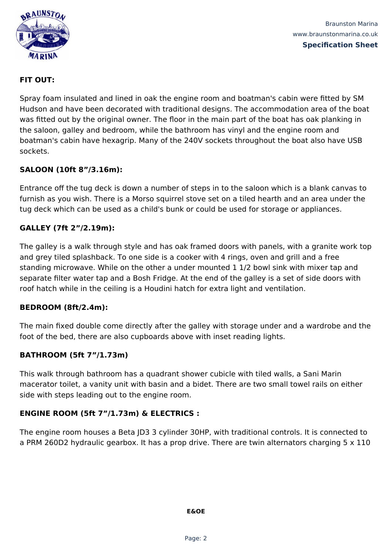

Braunston Marina www.braunstonmarina.co.uk **Specification Sheet**

## **FIT OUT:**

Spray foam insulated and lined in oak the engine room and boatman's cabin were fitted by SM Hudson and have been decorated with traditional designs. The accommodation area of the boat was fitted out by the original owner. The floor in the main part of the boat has oak planking in the saloon, galley and bedroom, while the bathroom has vinyl and the engine room and boatman's cabin have hexagrip. Many of the 240V sockets throughout the boat also have USB sockets.

## **SALOON (10ft 8"/3.16m):**

Entrance off the tug deck is down a number of steps in to the saloon which is a blank canvas to furnish as you wish. There is a Morso squirrel stove set on a tiled hearth and an area under the tug deck which can be used as a child's bunk or could be used for storage or appliances.

## **GALLEY (7ft 2"/2.19m):**

The galley is a walk through style and has oak framed doors with panels, with a granite work top and grey tiled splashback. To one side is a cooker with 4 rings, oven and grill and a free standing microwave. While on the other a under mounted 1 1/2 bowl sink with mixer tap and separate filter water tap and a Bosh Fridge. At the end of the galley is a set of side doors with roof hatch while in the ceiling is a Houdini hatch for extra light and ventilation.

### **BEDROOM (8ft/2.4m):**

The main fixed double come directly after the galley with storage under and a wardrobe and the foot of the bed, there are also cupboards above with inset reading lights.

### **BATHROOM (5ft 7"/1.73m)**

This walk through bathroom has a quadrant shower cubicle with tiled walls, a Sani Marin macerator toilet, a vanity unit with basin and a bidet. There are two small towel rails on either side with steps leading out to the engine room.

## **ENGINE ROOM (5ft 7"/1.73m) & ELECTRICS :**

The engine room houses a Beta JD3 3 cylinder 30HP, with traditional controls. It is connected to a PRM 260D2 hydraulic gearbox. It has a prop drive. There are twin alternators charging 5 x 110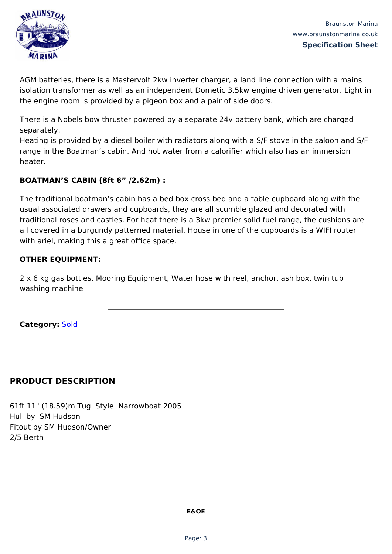

AGM batteries, there is a Mastervolt 2kw inverter charger, a land line connection with a mains isolation transformer as well as an independent Dometic 3.5kw engine driven generator. Light in the engine room is provided by a pigeon box and a pair of side doors.

There is a Nobels bow thruster powered by a separate 24v battery bank, which are charged separately.

Heating is provided by a diesel boiler with radiators along with a S/F stove in the saloon and S/F range in the Boatman's cabin. And hot water from a calorifier which also has an immersion heater.

## **BOATMAN'S CABIN (8ft 6" /2.62m) :**

The traditional boatman's cabin has a bed box cross bed and a table cupboard along with the usual associated drawers and cupboards, they are all scumble glazed and decorated with traditional roses and castles. For heat there is a 3kw premier solid fuel range, the cushions are all covered in a burgundy patterned material. House in one of the cupboards is a WIFI router with ariel, making this a great office space.

## **OTHER EQUIPMENT:**

2 x 6 kg gas bottles. Mooring Equipment, Water hose with reel, anchor, ash box, twin tub washing machine

**Category:** [Sold](https://braunstonmarina.co.uk/product-category/sold/)

# **PRODUCT DESCRIPTION**

61ft 11" (18.59)m Tug Style Narrowboat 2005 Hull by SM Hudson Fitout by SM Hudson/Owner 2/5 Berth